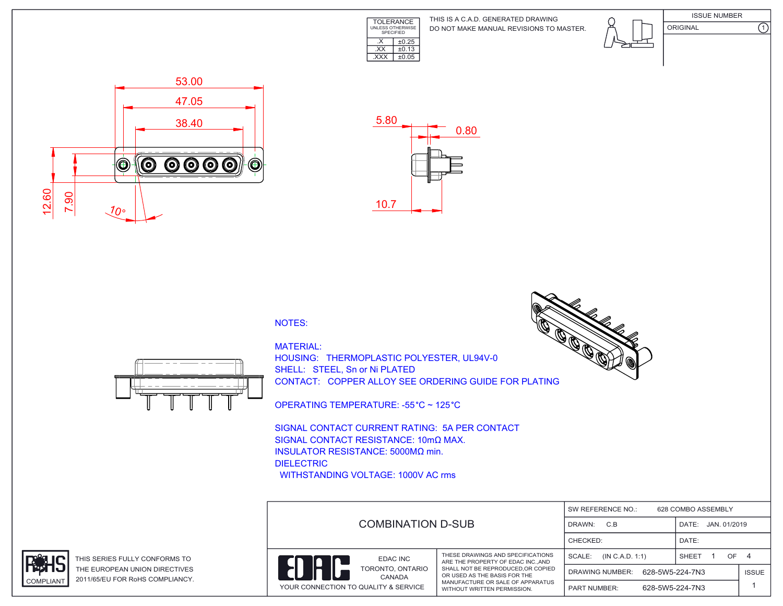

DO NOT MAKE MANUAL REVISIONS TO MASTER. THIS IS A C.A.D. GENERATED DRAWING





ORIGINAL (1)





## NOTES:



MATERIAL: HOUSING: THERMOPLASTIC POLYESTER, UL94V-0 SHELL: STEEL, Sn or Ni PLATED CONTACT: COPPER ALLOY SEE ORDERING GUIDE FOR PLATING

OPERATING TEMPERATURE: -55 °C ~ 125 °C

SIGNAL CONTACT CURRENT RATING: 5A PER CONTACT SIGNAL CONTACT RESISTANCE: 10mΩ MAX. INSULATOR RESISTANCE: 5000MΩ min. DIELECTRIC WITHSTANDING VOLTAGE: 1000V AC rms

|                                      | SW REFERENCE NO.:<br>628 COMBO ASSEMBLY<br><b>COMBINATION D-SUB</b><br>C.B<br>JAN. 01/2019<br>DRAWN:<br>DATE:<br>CHECKED:<br>DATE: |                                           |               |              |
|--------------------------------------|------------------------------------------------------------------------------------------------------------------------------------|-------------------------------------------|---------------|--------------|
|                                      |                                                                                                                                    |                                           |               |              |
|                                      |                                                                                                                                    |                                           |               |              |
| EDAC INC                             | THESE DRAWINGS AND SPECIFICATIONS<br>ARE THE PROPERTY OF EDAC INCAND                                                               | SCALE:<br>(IN C.A.D. 1:1)                 | OF 4<br>SHEET |              |
| TORONTO, ONTARIO<br>CANADA           | SHALL NOT BE REPRODUCED.OR COPIED<br>OR USED AS THE BASIS FOR THE                                                                  | 628-5W5-224-7N3<br><b>DRAWING NUMBER:</b> |               | <b>ISSUE</b> |
| YOUR CONNECTION TO QUALITY & SERVICE | MANUFACTURE OR SALE OF APPARATUS<br>WITHOUT WRITTEN PERMISSION.                                                                    | 628-5W5-224-7N3<br><b>PART NUMBER:</b>    |               |              |





THIS SERIES FULLY CONFORMS TO THE EUROPEAN UNION DIRECTIVES COMPLIANT 2011/65/EU FOR RoHS COMPLIANCY.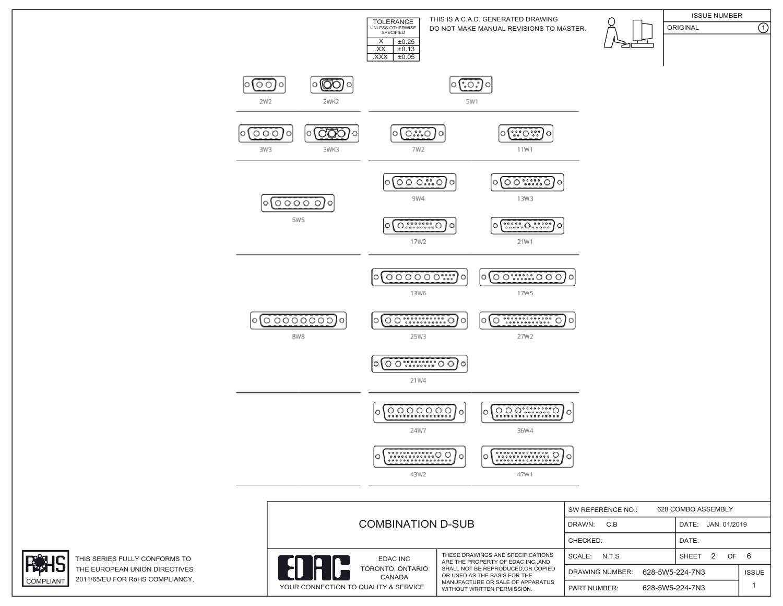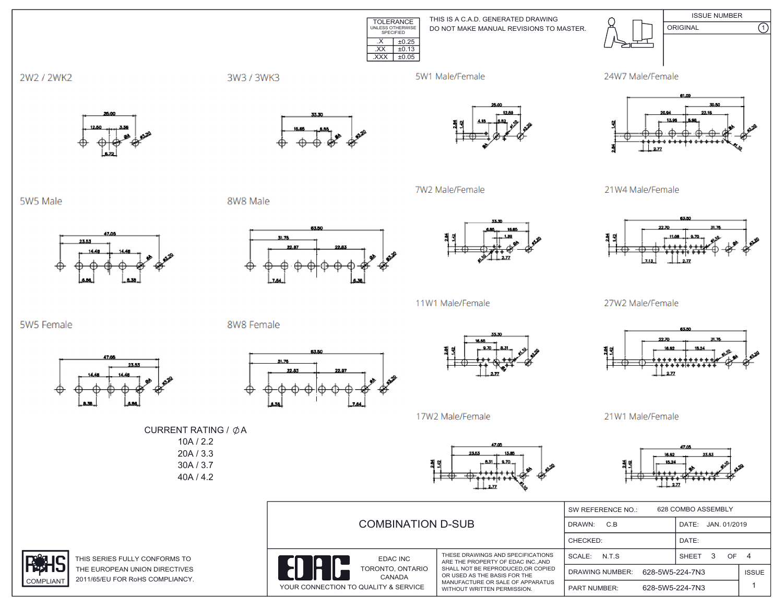TOLERANCE UNLESS OTHERWISE SPECIFIED  $\overline{XX}$   $\pm 0.13$ .XXX ±0.05DO NOT MAKE MANUAL REVISIONS TO MASTER. THIS IS A C.A.D. GENERATED DRAWING ISSUE NUMBER ORIGINAL (1)  $\overline{\text{.} \times \text{ 1} \pm 0.25}$ 





 $2\pi$ 



27W2 Male/Female



21W1 Male/Female



| <b>COMBINATION D-SUB</b>                                                                                                                                                                                                                                                                 |               | 628 COMBO ASSEMBLY<br>SW REFERENCE NO.: |                   |                       |              |  |
|------------------------------------------------------------------------------------------------------------------------------------------------------------------------------------------------------------------------------------------------------------------------------------------|---------------|-----------------------------------------|-------------------|-----------------------|--------------|--|
|                                                                                                                                                                                                                                                                                          |               | DRAWN:<br>C.B                           |                   | JAN. 01/2019<br>DATE: |              |  |
|                                                                                                                                                                                                                                                                                          |               | CHECKED:                                |                   | DATE:                 |              |  |
| THESE DRAWINGS AND SPECIFICATIONS<br>EDAC INC<br>ARE THE PROPERTY OF EDAC INC. AND<br>SHALL NOT BE REPRODUCED.OR COPIED<br>TORONTO, ONTARIO<br>OR USED AS THE BASIS FOR THE<br>CANADA<br>MANUFACTURE OR SALE OF APPARATUS<br><b>QUALITY &amp; SERVICE</b><br>WITHOUT WRITTEN PERMISSION. | SCALE: N.T.S. |                                         | 3<br><b>SHEET</b> | OF.                   | 4            |  |
|                                                                                                                                                                                                                                                                                          |               | DRAWING NUMBER:                         | 628-5W5-224-7N3   |                       | <b>ISSUE</b> |  |
|                                                                                                                                                                                                                                                                                          |               | <b>PART NUMBER:</b>                     | 628-5W5-224-7N3   |                       |              |  |

2W2 / 2WK2

5W5 Male

5W5 Female



8W8 Male

8W8 Female

31.76









7W2 Male/Female





YOUR CONNECTION TO QUALITY



11W1 Male/Female



17W2 Male/Female



10A / 2.2 20A / 3.3 30A / 3.7



THIS SERIES FULLY CONFORMS TO THE EUROPEAN UNION DIRECTIVES

23.53

COMPLIANT 2011/65/EU FOR RoHS COMPLIANCY.

47.00

23.53



40A / 4.2